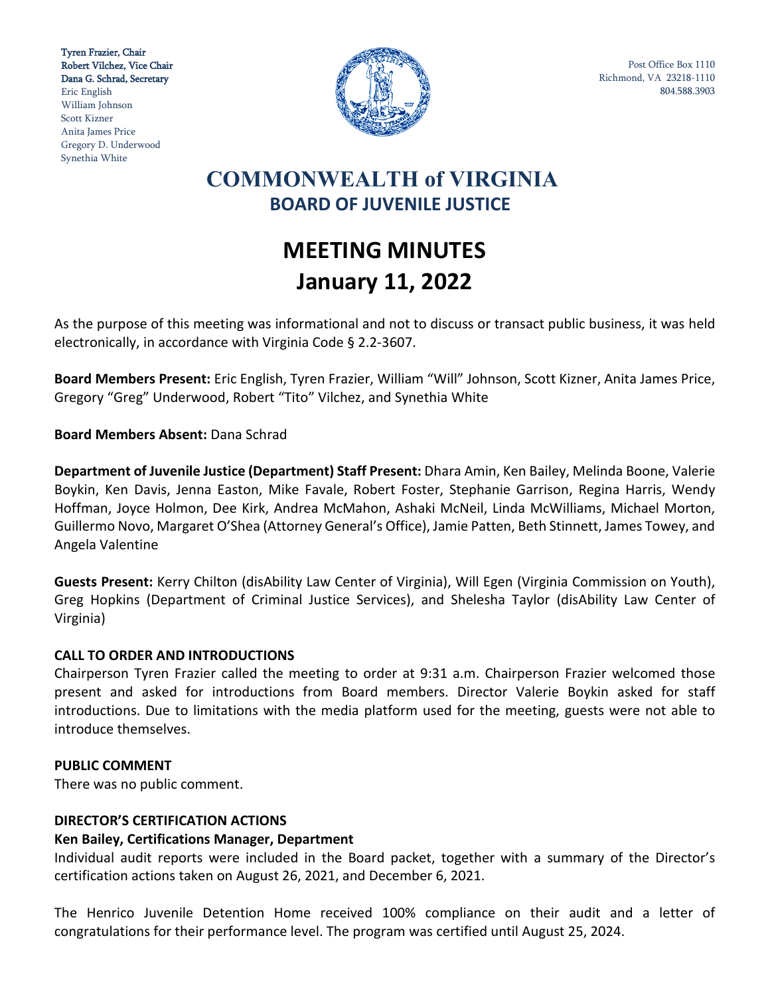Tyren Frazier, Chair Robert Vilchez, Vice Chair Dana G. Schrad, Secretary Eric English William Johnson Scott Kizner Anita James Price Gregory D. Underwood Synethia White



Post Office Box 1110 Richmond, VA 23218-1110 804.588.3903

# **COMMONWEALTH of VIRGINIA BOARD OF JUVENILE JUSTICE**

# **MEETING MINUTES January 11, 2022**

As the purpose of this meeting was informational and not to discuss or transact public business, it was held electronically, in accordance with Virginia Code § 2.2-3607.

**Board Members Present:** Eric English, Tyren Frazier, William "Will" Johnson, Scott Kizner, Anita James Price, Gregory "Greg" Underwood, Robert "Tito" Vilchez, and Synethia White

# **Board Members Absent:** Dana Schrad

**Department of Juvenile Justice (Department) Staff Present:** Dhara Amin, Ken Bailey, Melinda Boone, Valerie Boykin, Ken Davis, Jenna Easton, Mike Favale, Robert Foster, Stephanie Garrison, Regina Harris, Wendy Hoffman, Joyce Holmon, Dee Kirk, Andrea McMahon, Ashaki McNeil, Linda McWilliams, Michael Morton, Guillermo Novo, Margaret O'Shea (Attorney General's Office), Jamie Patten, Beth Stinnett, James Towey, and Angela Valentine

**Guests Present:** Kerry Chilton (disAbility Law Center of Virginia), Will Egen (Virginia Commission on Youth), Greg Hopkins (Department of Criminal Justice Services), and Shelesha Taylor (disAbility Law Center of Virginia)

#### **CALL TO ORDER AND INTRODUCTIONS**

Chairperson Tyren Frazier called the meeting to order at 9:31 a.m. Chairperson Frazier welcomed those present and asked for introductions from Board members. Director Valerie Boykin asked for staff introductions. Due to limitations with the media platform used for the meeting, guests were not able to introduce themselves.

#### **PUBLIC COMMENT**

There was no public comment.

#### **DIRECTOR'S CERTIFICATION ACTIONS**

#### **Ken Bailey, Certifications Manager, Department**

Individual audit reports were included in the Board packet, together with a summary of the Director's certification actions taken on August 26, 2021, and December 6, 2021.

The Henrico Juvenile Detention Home received 100% compliance on their audit and a letter of congratulations for their performance level. The program was certified until August 25, 2024.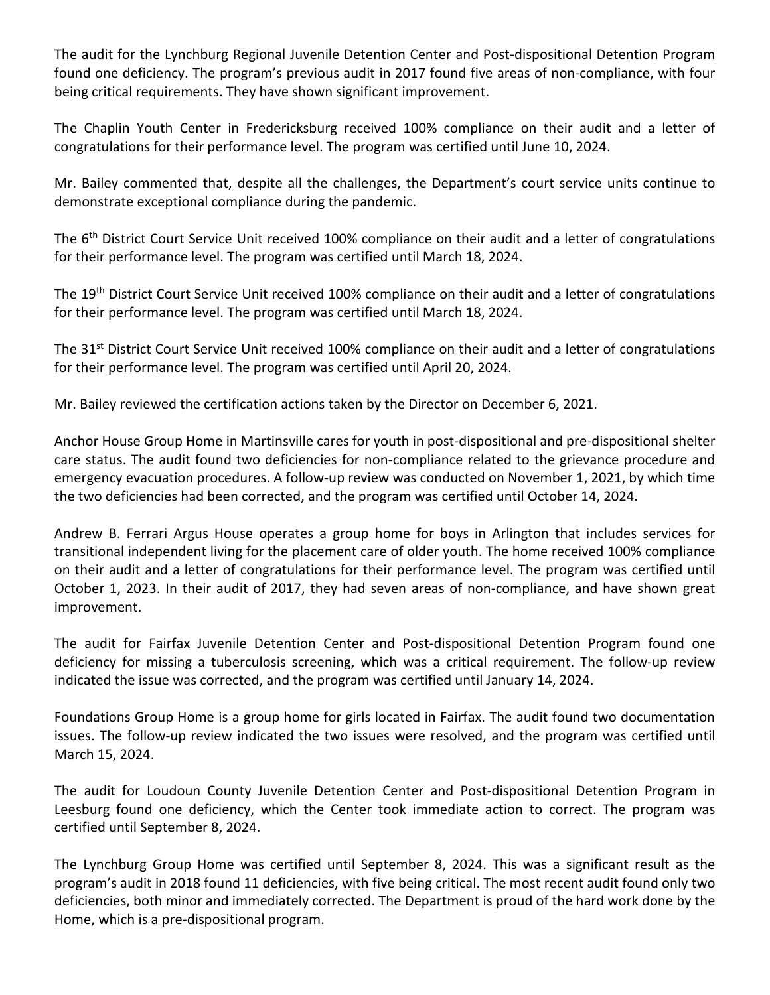The audit for the Lynchburg Regional Juvenile Detention Center and Post-dispositional Detention Program found one deficiency. The program's previous audit in 2017 found five areas of non-compliance, with four being critical requirements. They have shown significant improvement.

The Chaplin Youth Center in Fredericksburg received 100% compliance on their audit and a letter of congratulations for their performance level. The program was certified until June 10, 2024.

Mr. Bailey commented that, despite all the challenges, the Department's court service units continue to demonstrate exceptional compliance during the pandemic.

The 6<sup>th</sup> District Court Service Unit received 100% compliance on their audit and a letter of congratulations for their performance level. The program was certified until March 18, 2024.

The 19th District Court Service Unit received 100% compliance on their audit and a letter of congratulations for their performance level. The program was certified until March 18, 2024.

The 31<sup>st</sup> District Court Service Unit received 100% compliance on their audit and a letter of congratulations for their performance level. The program was certified until April 20, 2024.

Mr. Bailey reviewed the certification actions taken by the Director on December 6, 2021.

Anchor House Group Home in Martinsville cares for youth in post-dispositional and pre-dispositional shelter care status. The audit found two deficiencies for non-compliance related to the grievance procedure and emergency evacuation procedures. A follow-up review was conducted on November 1, 2021, by which time the two deficiencies had been corrected, and the program was certified until October 14, 2024.

Andrew B. Ferrari Argus House operates a group home for boys in Arlington that includes services for transitional independent living for the placement care of older youth. The home received 100% compliance on their audit and a letter of congratulations for their performance level. The program was certified until October 1, 2023. In their audit of 2017, they had seven areas of non-compliance, and have shown great improvement.

The audit for Fairfax Juvenile Detention Center and Post-dispositional Detention Program found one deficiency for missing a tuberculosis screening, which was a critical requirement. The follow-up review indicated the issue was corrected, and the program was certified until January 14, 2024.

Foundations Group Home is a group home for girls located in Fairfax. The audit found two documentation issues. The follow-up review indicated the two issues were resolved, and the program was certified until March 15, 2024.

The audit for Loudoun County Juvenile Detention Center and Post-dispositional Detention Program in Leesburg found one deficiency, which the Center took immediate action to correct. The program was certified until September 8, 2024.

The Lynchburg Group Home was certified until September 8, 2024. This was a significant result as the program's audit in 2018 found 11 deficiencies, with five being critical. The most recent audit found only two deficiencies, both minor and immediately corrected. The Department is proud of the hard work done by the Home, which is a pre-dispositional program.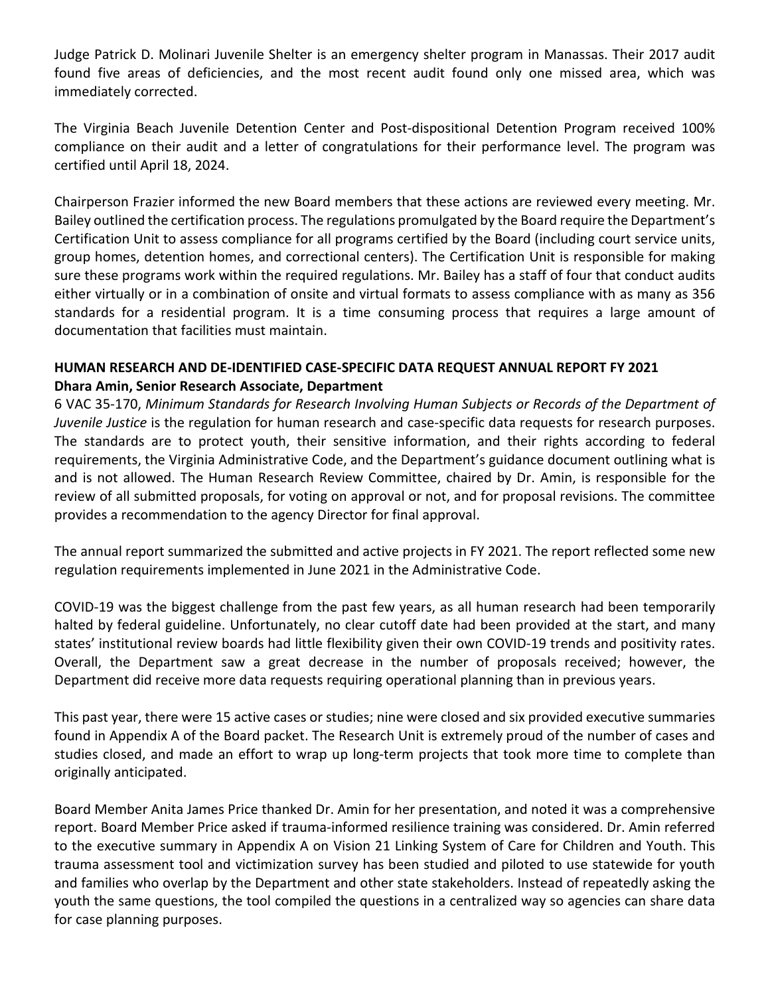Judge Patrick D. Molinari Juvenile Shelter is an emergency shelter program in Manassas. Their 2017 audit found five areas of deficiencies, and the most recent audit found only one missed area, which was immediately corrected.

The Virginia Beach Juvenile Detention Center and Post-dispositional Detention Program received 100% compliance on their audit and a letter of congratulations for their performance level. The program was certified until April 18, 2024.

Chairperson Frazier informed the new Board members that these actions are reviewed every meeting. Mr. Bailey outlined the certification process. The regulations promulgated by the Board require the Department's Certification Unit to assess compliance for all programs certified by the Board (including court service units, group homes, detention homes, and correctional centers). The Certification Unit is responsible for making sure these programs work within the required regulations. Mr. Bailey has a staff of four that conduct audits either virtually or in a combination of onsite and virtual formats to assess compliance with as many as 356 standards for a residential program. It is a time consuming process that requires a large amount of documentation that facilities must maintain.

# **HUMAN RESEARCH AND DE-IDENTIFIED CASE-SPECIFIC DATA REQUEST ANNUAL REPORT FY 2021 Dhara Amin, Senior Research Associate, Department**

6 VAC 35-170, *Minimum Standards for Research Involving Human Subjects or Records of the Department of Juvenile Justice* is the regulation for human research and case-specific data requests for research purposes. The standards are to protect youth, their sensitive information, and their rights according to federal requirements, the Virginia Administrative Code, and the Department's guidance document outlining what is and is not allowed. The Human Research Review Committee, chaired by Dr. Amin, is responsible for the review of all submitted proposals, for voting on approval or not, and for proposal revisions. The committee provides a recommendation to the agency Director for final approval.

The annual report summarized the submitted and active projects in FY 2021. The report reflected some new regulation requirements implemented in June 2021 in the Administrative Code.

COVID-19 was the biggest challenge from the past few years, as all human research had been temporarily halted by federal guideline. Unfortunately, no clear cutoff date had been provided at the start, and many states' institutional review boards had little flexibility given their own COVID-19 trends and positivity rates. Overall, the Department saw a great decrease in the number of proposals received; however, the Department did receive more data requests requiring operational planning than in previous years.

This past year, there were 15 active cases or studies; nine were closed and six provided executive summaries found in Appendix A of the Board packet. The Research Unit is extremely proud of the number of cases and studies closed, and made an effort to wrap up long-term projects that took more time to complete than originally anticipated.

Board Member Anita James Price thanked Dr. Amin for her presentation, and noted it was a comprehensive report. Board Member Price asked if trauma-informed resilience training was considered. Dr. Amin referred to the executive summary in Appendix A on Vision 21 Linking System of Care for Children and Youth. This trauma assessment tool and victimization survey has been studied and piloted to use statewide for youth and families who overlap by the Department and other state stakeholders. Instead of repeatedly asking the youth the same questions, the tool compiled the questions in a centralized way so agencies can share data for case planning purposes.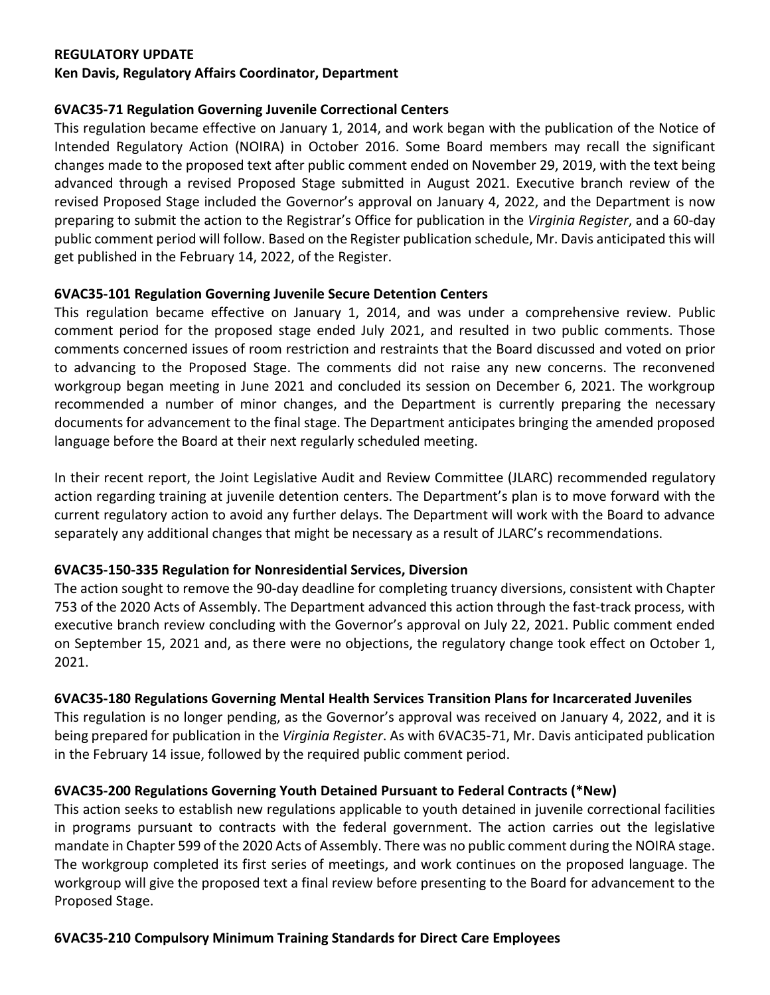#### **REGULATORY UPDATE**

#### **Ken Davis, Regulatory Affairs Coordinator, Department**

#### **6VAC35-71 Regulation Governing Juvenile Correctional Centers**

This regulation became effective on January 1, 2014, and work began with the publication of the Notice of Intended Regulatory Action (NOIRA) in October 2016. Some Board members may recall the significant changes made to the proposed text after public comment ended on November 29, 2019, with the text being advanced through a revised Proposed Stage submitted in August 2021. Executive branch review of the revised Proposed Stage included the Governor's approval on January 4, 2022, and the Department is now preparing to submit the action to the Registrar's Office for publication in the *Virginia Register*, and a 60-day public comment period will follow. Based on the Register publication schedule, Mr. Davis anticipated this will get published in the February 14, 2022, of the Register.

# **6VAC35-101 Regulation Governing Juvenile Secure Detention Centers**

This regulation became effective on January 1, 2014, and was under a comprehensive review. Public comment period for the proposed stage ended July 2021, and resulted in two public comments. Those comments concerned issues of room restriction and restraints that the Board discussed and voted on prior to advancing to the Proposed Stage. The comments did not raise any new concerns. The reconvened workgroup began meeting in June 2021 and concluded its session on December 6, 2021. The workgroup recommended a number of minor changes, and the Department is currently preparing the necessary documents for advancement to the final stage. The Department anticipates bringing the amended proposed language before the Board at their next regularly scheduled meeting.

In their recent report, the Joint Legislative Audit and Review Committee (JLARC) recommended regulatory action regarding training at juvenile detention centers. The Department's plan is to move forward with the current regulatory action to avoid any further delays. The Department will work with the Board to advance separately any additional changes that might be necessary as a result of JLARC's recommendations.

# **6VAC35-150-335 Regulation for Nonresidential Services, Diversion**

The action sought to remove the 90-day deadline for completing truancy diversions, consistent with Chapter 753 of the 2020 Acts of Assembly. The Department advanced this action through the fast-track process, with executive branch review concluding with the Governor's approval on July 22, 2021. Public comment ended on September 15, 2021 and, as there were no objections, the regulatory change took effect on October 1, 2021.

# **6VAC35-180 Regulations Governing Mental Health Services Transition Plans for Incarcerated Juveniles**

This regulation is no longer pending, as the Governor's approval was received on January 4, 2022, and it is being prepared for publication in the *Virginia Register*. As with 6VAC35-71, Mr. Davis anticipated publication in the February 14 issue, followed by the required public comment period.

# **6VAC35-200 Regulations Governing Youth Detained Pursuant to Federal Contracts (\*New)**

This action seeks to establish new regulations applicable to youth detained in juvenile correctional facilities in programs pursuant to contracts with the federal government. The action carries out the legislative mandate in Chapter 599 of the 2020 Acts of Assembly. There was no public comment during the NOIRA stage. The workgroup completed its first series of meetings, and work continues on the proposed language. The workgroup will give the proposed text a final review before presenting to the Board for advancement to the Proposed Stage.

#### **6VAC35-210 Compulsory Minimum Training Standards for Direct Care Employees**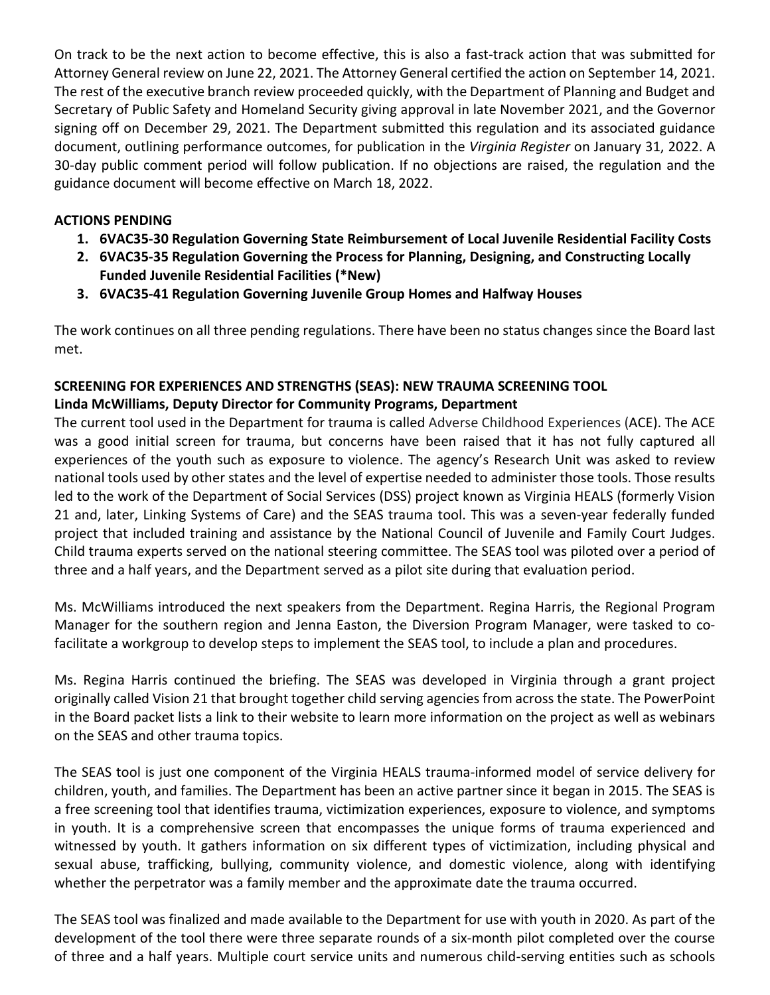On track to be the next action to become effective, this is also a fast-track action that was submitted for Attorney General review on June 22, 2021. The Attorney General certified the action on September 14, 2021. The rest of the executive branch review proceeded quickly, with the Department of Planning and Budget and Secretary of Public Safety and Homeland Security giving approval in late November 2021, and the Governor signing off on December 29, 2021. The Department submitted this regulation and its associated guidance document, outlining performance outcomes, for publication in the *Virginia Register* on January 31, 2022. A 30-day public comment period will follow publication. If no objections are raised, the regulation and the guidance document will become effective on March 18, 2022.

# **ACTIONS PENDING**

- **1. 6VAC35-30 Regulation Governing State Reimbursement of Local Juvenile Residential Facility Costs**
- **2. 6VAC35-35 Regulation Governing the Process for Planning, Designing, and Constructing Locally Funded Juvenile Residential Facilities (\*New)**
- **3. 6VAC35-41 Regulation Governing Juvenile Group Homes and Halfway Houses**

The work continues on all three pending regulations. There have been no status changes since the Board last met.

# **SCREENING FOR EXPERIENCES AND STRENGTHS (SEAS): NEW TRAUMA SCREENING TOOL Linda McWilliams, Deputy Director for Community Programs, Department**

The current tool used in the Department for trauma is called Adverse Childhood Experiences (ACE). The ACE was a good initial screen for trauma, but concerns have been raised that it has not fully captured all experiences of the youth such as exposure to violence. The agency's Research Unit was asked to review national tools used by other states and the level of expertise needed to administer those tools. Those results led to the work of the Department of Social Services (DSS) project known as Virginia HEALS (formerly Vision 21 and, later, Linking Systems of Care) and the SEAS trauma tool. This was a seven-year federally funded project that included training and assistance by the National Council of Juvenile and Family Court Judges. Child trauma experts served on the national steering committee. The SEAS tool was piloted over a period of three and a half years, and the Department served as a pilot site during that evaluation period.

Ms. McWilliams introduced the next speakers from the Department. Regina Harris, the Regional Program Manager for the southern region and Jenna Easton, the Diversion Program Manager, were tasked to cofacilitate a workgroup to develop steps to implement the SEAS tool, to include a plan and procedures.

Ms. Regina Harris continued the briefing. The SEAS was developed in Virginia through a grant project originally called Vision 21 that brought together child serving agencies from across the state. The PowerPoint in the Board packet lists a link to their website to learn more information on the project as well as webinars on the SEAS and other trauma topics.

The SEAS tool is just one component of the Virginia HEALS trauma-informed model of service delivery for children, youth, and families. The Department has been an active partner since it began in 2015. The SEAS is a free screening tool that identifies trauma, victimization experiences, exposure to violence, and symptoms in youth. It is a comprehensive screen that encompasses the unique forms of trauma experienced and witnessed by youth. It gathers information on six different types of victimization, including physical and sexual abuse, trafficking, bullying, community violence, and domestic violence, along with identifying whether the perpetrator was a family member and the approximate date the trauma occurred.

The SEAS tool was finalized and made available to the Department for use with youth in 2020. As part of the development of the tool there were three separate rounds of a six-month pilot completed over the course of three and a half years. Multiple court service units and numerous child-serving entities such as schools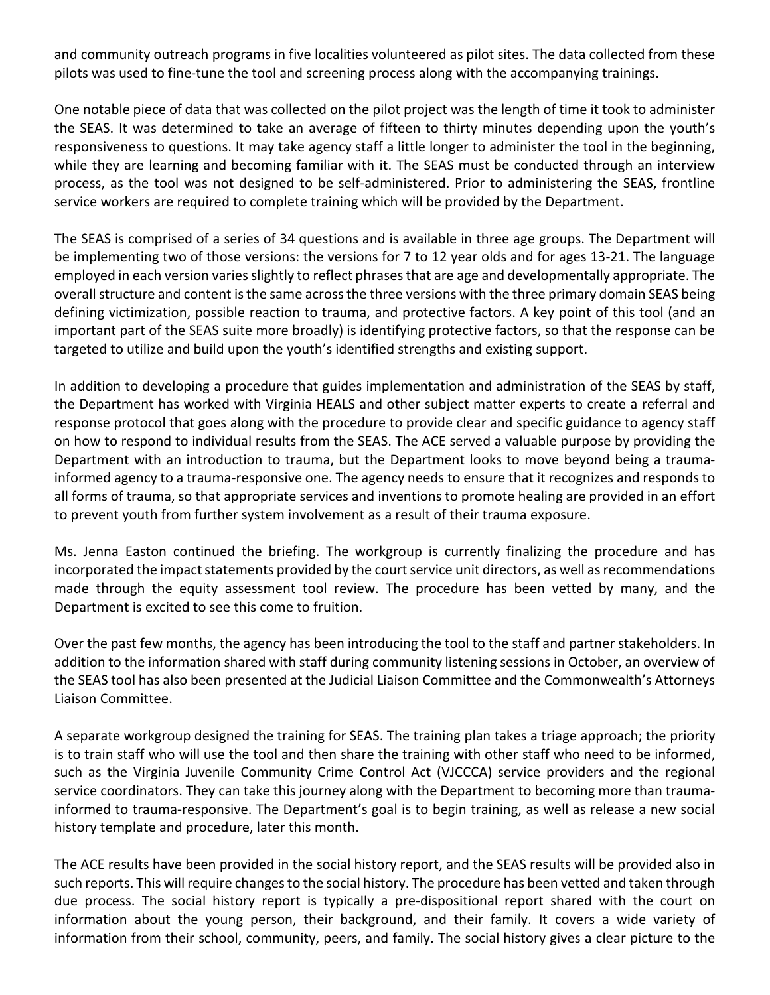and community outreach programs in five localities volunteered as pilot sites. The data collected from these pilots was used to fine-tune the tool and screening process along with the accompanying trainings.

One notable piece of data that was collected on the pilot project was the length of time it took to administer the SEAS. It was determined to take an average of fifteen to thirty minutes depending upon the youth's responsiveness to questions. It may take agency staff a little longer to administer the tool in the beginning, while they are learning and becoming familiar with it. The SEAS must be conducted through an interview process, as the tool was not designed to be self-administered. Prior to administering the SEAS, frontline service workers are required to complete training which will be provided by the Department.

The SEAS is comprised of a series of 34 questions and is available in three age groups. The Department will be implementing two of those versions: the versions for 7 to 12 year olds and for ages 13-21. The language employed in each version varies slightly to reflect phrases that are age and developmentally appropriate. The overall structure and content is the same across the three versions with the three primary domain SEAS being defining victimization, possible reaction to trauma, and protective factors. A key point of this tool (and an important part of the SEAS suite more broadly) is identifying protective factors, so that the response can be targeted to utilize and build upon the youth's identified strengths and existing support.

In addition to developing a procedure that guides implementation and administration of the SEAS by staff, the Department has worked with Virginia HEALS and other subject matter experts to create a referral and response protocol that goes along with the procedure to provide clear and specific guidance to agency staff on how to respond to individual results from the SEAS. The ACE served a valuable purpose by providing the Department with an introduction to trauma, but the Department looks to move beyond being a traumainformed agency to a trauma-responsive one. The agency needs to ensure that it recognizes and responds to all forms of trauma, so that appropriate services and inventions to promote healing are provided in an effort to prevent youth from further system involvement as a result of their trauma exposure.

Ms. Jenna Easton continued the briefing. The workgroup is currently finalizing the procedure and has incorporated the impact statements provided by the court service unit directors, as well as recommendations made through the equity assessment tool review. The procedure has been vetted by many, and the Department is excited to see this come to fruition.

Over the past few months, the agency has been introducing the tool to the staff and partner stakeholders. In addition to the information shared with staff during community listening sessions in October, an overview of the SEAS tool has also been presented at the Judicial Liaison Committee and the Commonwealth's Attorneys Liaison Committee.

A separate workgroup designed the training for SEAS. The training plan takes a triage approach; the priority is to train staff who will use the tool and then share the training with other staff who need to be informed, such as the Virginia Juvenile Community Crime Control Act (VJCCCA) service providers and the regional service coordinators. They can take this journey along with the Department to becoming more than traumainformed to trauma-responsive. The Department's goal is to begin training, as well as release a new social history template and procedure, later this month.

The ACE results have been provided in the social history report, and the SEAS results will be provided also in such reports. This will require changes to the social history. The procedure has been vetted and taken through due process. The social history report is typically a pre-dispositional report shared with the court on information about the young person, their background, and their family. It covers a wide variety of information from their school, community, peers, and family. The social history gives a clear picture to the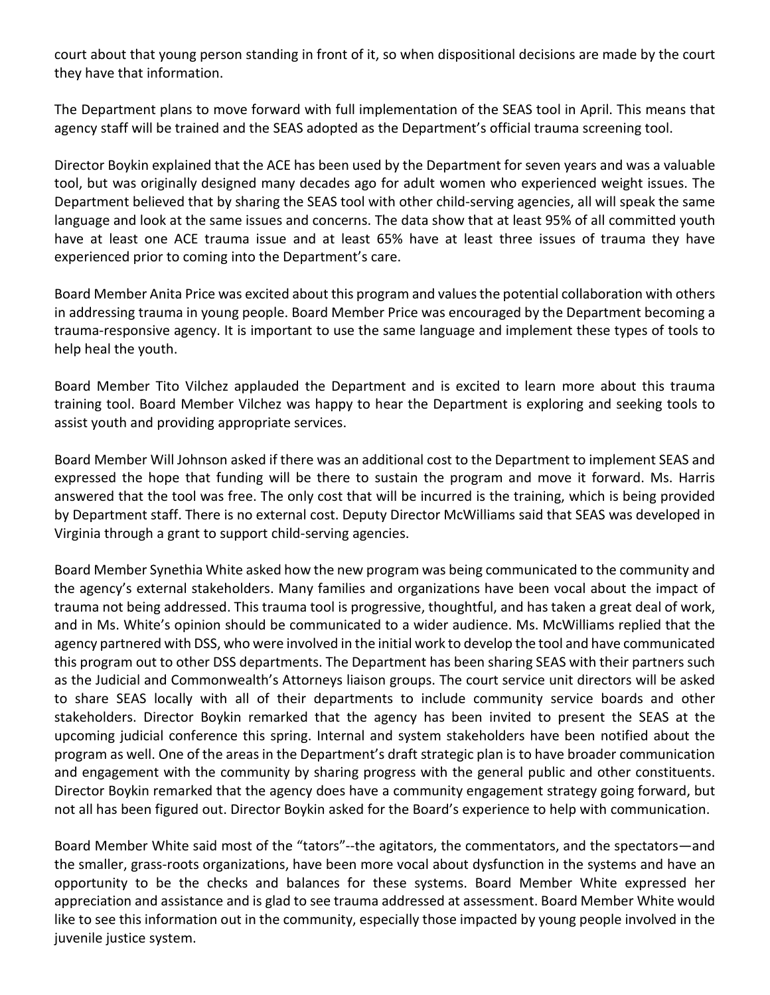court about that young person standing in front of it, so when dispositional decisions are made by the court they have that information.

The Department plans to move forward with full implementation of the SEAS tool in April. This means that agency staff will be trained and the SEAS adopted as the Department's official trauma screening tool.

Director Boykin explained that the ACE has been used by the Department for seven years and was a valuable tool, but was originally designed many decades ago for adult women who experienced weight issues. The Department believed that by sharing the SEAS tool with other child-serving agencies, all will speak the same language and look at the same issues and concerns. The data show that at least 95% of all committed youth have at least one ACE trauma issue and at least 65% have at least three issues of trauma they have experienced prior to coming into the Department's care.

Board Member Anita Price was excited about this program and values the potential collaboration with others in addressing trauma in young people. Board Member Price was encouraged by the Department becoming a trauma-responsive agency. It is important to use the same language and implement these types of tools to help heal the youth.

Board Member Tito Vilchez applauded the Department and is excited to learn more about this trauma training tool. Board Member Vilchez was happy to hear the Department is exploring and seeking tools to assist youth and providing appropriate services.

Board Member Will Johnson asked if there was an additional cost to the Department to implement SEAS and expressed the hope that funding will be there to sustain the program and move it forward. Ms. Harris answered that the tool was free. The only cost that will be incurred is the training, which is being provided by Department staff. There is no external cost. Deputy Director McWilliams said that SEAS was developed in Virginia through a grant to support child-serving agencies.

Board Member Synethia White asked how the new program was being communicated to the community and the agency's external stakeholders. Many families and organizations have been vocal about the impact of trauma not being addressed. This trauma tool is progressive, thoughtful, and has taken a great deal of work, and in Ms. White's opinion should be communicated to a wider audience. Ms. McWilliams replied that the agency partnered with DSS, who were involved in the initial work to develop the tool and have communicated this program out to other DSS departments. The Department has been sharing SEAS with their partners such as the Judicial and Commonwealth's Attorneys liaison groups. The court service unit directors will be asked to share SEAS locally with all of their departments to include community service boards and other stakeholders. Director Boykin remarked that the agency has been invited to present the SEAS at the upcoming judicial conference this spring. Internal and system stakeholders have been notified about the program as well. One of the areas in the Department's draft strategic plan is to have broader communication and engagement with the community by sharing progress with the general public and other constituents. Director Boykin remarked that the agency does have a community engagement strategy going forward, but not all has been figured out. Director Boykin asked for the Board's experience to help with communication.

Board Member White said most of the "tators"--the agitators, the commentators, and the spectators—and the smaller, grass-roots organizations, have been more vocal about dysfunction in the systems and have an opportunity to be the checks and balances for these systems. Board Member White expressed her appreciation and assistance and is glad to see trauma addressed at assessment. Board Member White would like to see this information out in the community, especially those impacted by young people involved in the juvenile justice system.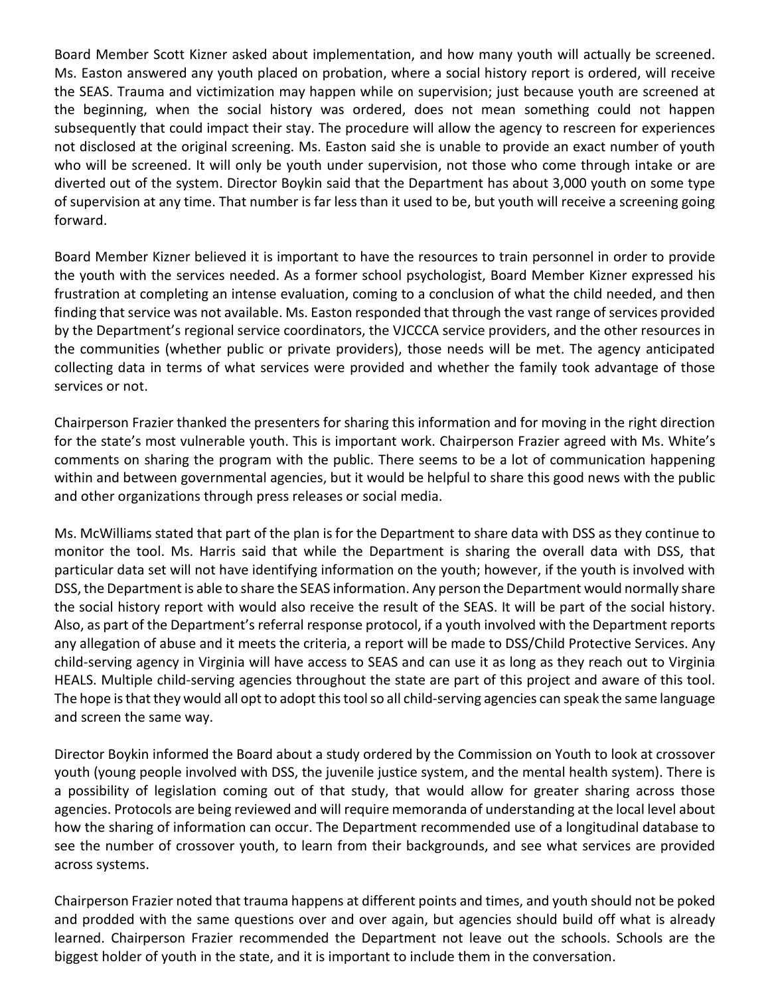Board Member Scott Kizner asked about implementation, and how many youth will actually be screened. Ms. Easton answered any youth placed on probation, where a social history report is ordered, will receive the SEAS. Trauma and victimization may happen while on supervision; just because youth are screened at the beginning, when the social history was ordered, does not mean something could not happen subsequently that could impact their stay. The procedure will allow the agency to rescreen for experiences not disclosed at the original screening. Ms. Easton said she is unable to provide an exact number of youth who will be screened. It will only be youth under supervision, not those who come through intake or are diverted out of the system. Director Boykin said that the Department has about 3,000 youth on some type of supervision at any time. That number is far less than it used to be, but youth will receive a screening going forward.

Board Member Kizner believed it is important to have the resources to train personnel in order to provide the youth with the services needed. As a former school psychologist, Board Member Kizner expressed his frustration at completing an intense evaluation, coming to a conclusion of what the child needed, and then finding that service was not available. Ms. Easton responded that through the vast range of services provided by the Department's regional service coordinators, the VJCCCA service providers, and the other resources in the communities (whether public or private providers), those needs will be met. The agency anticipated collecting data in terms of what services were provided and whether the family took advantage of those services or not.

Chairperson Frazier thanked the presenters for sharing this information and for moving in the right direction for the state's most vulnerable youth. This is important work. Chairperson Frazier agreed with Ms. White's comments on sharing the program with the public. There seems to be a lot of communication happening within and between governmental agencies, but it would be helpful to share this good news with the public and other organizations through press releases or social media.

Ms. McWilliams stated that part of the plan is for the Department to share data with DSS as they continue to monitor the tool. Ms. Harris said that while the Department is sharing the overall data with DSS, that particular data set will not have identifying information on the youth; however, if the youth is involved with DSS, the Department is able to share the SEAS information. Any person the Department would normally share the social history report with would also receive the result of the SEAS. It will be part of the social history. Also, as part of the Department's referral response protocol, if a youth involved with the Department reports any allegation of abuse and it meets the criteria, a report will be made to DSS/Child Protective Services. Any child-serving agency in Virginia will have access to SEAS and can use it as long as they reach out to Virginia HEALS. Multiple child-serving agencies throughout the state are part of this project and aware of this tool. The hope is that they would all opt to adopt this tool so all child-serving agencies can speak the same language and screen the same way.

Director Boykin informed the Board about a study ordered by the Commission on Youth to look at crossover youth (young people involved with DSS, the juvenile justice system, and the mental health system). There is a possibility of legislation coming out of that study, that would allow for greater sharing across those agencies. Protocols are being reviewed and will require memoranda of understanding at the local level about how the sharing of information can occur. The Department recommended use of a longitudinal database to see the number of crossover youth, to learn from their backgrounds, and see what services are provided across systems.

Chairperson Frazier noted that trauma happens at different points and times, and youth should not be poked and prodded with the same questions over and over again, but agencies should build off what is already learned. Chairperson Frazier recommended the Department not leave out the schools. Schools are the biggest holder of youth in the state, and it is important to include them in the conversation.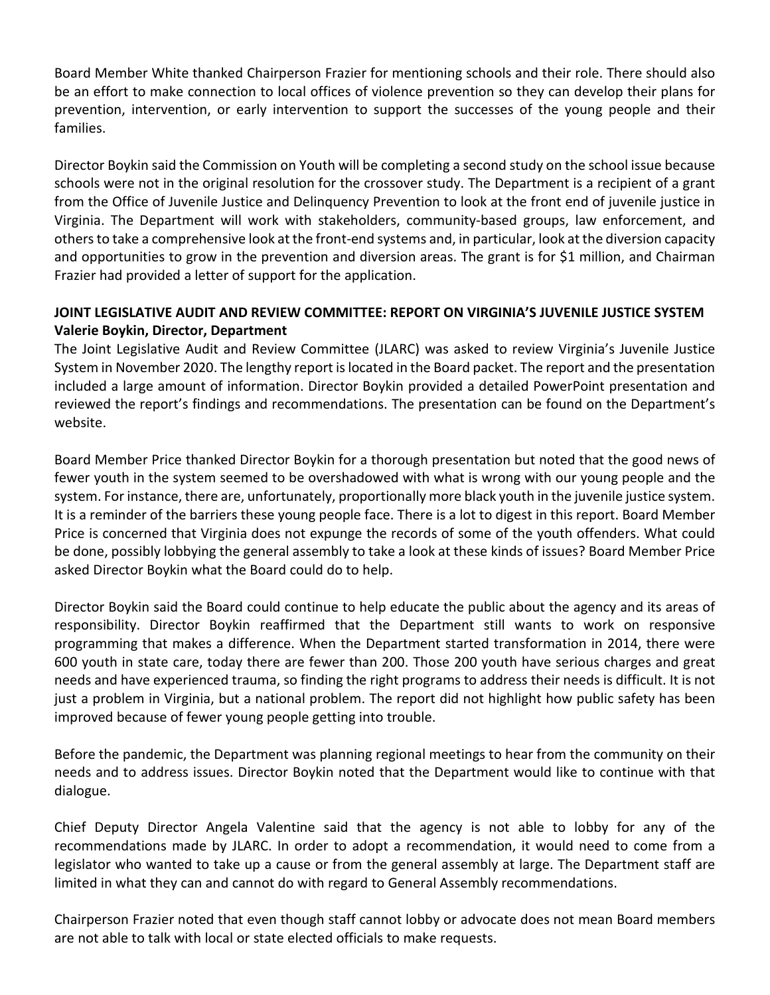Board Member White thanked Chairperson Frazier for mentioning schools and their role. There should also be an effort to make connection to local offices of violence prevention so they can develop their plans for prevention, intervention, or early intervention to support the successes of the young people and their families.

Director Boykin said the Commission on Youth will be completing a second study on the school issue because schools were not in the original resolution for the crossover study. The Department is a recipient of a grant from the Office of Juvenile Justice and Delinquency Prevention to look at the front end of juvenile justice in Virginia. The Department will work with stakeholders, community-based groups, law enforcement, and othersto take a comprehensive look at the front-end systems and, in particular, look at the diversion capacity and opportunities to grow in the prevention and diversion areas. The grant is for \$1 million, and Chairman Frazier had provided a letter of support for the application.

# **JOINT LEGISLATIVE AUDIT AND REVIEW COMMITTEE: REPORT ON VIRGINIA'S JUVENILE JUSTICE SYSTEM Valerie Boykin, Director, Department**

The Joint Legislative Audit and Review Committee (JLARC) was asked to review Virginia's Juvenile Justice System in November 2020. The lengthy report is located in the Board packet. The report and the presentation included a large amount of information. Director Boykin provided a detailed PowerPoint presentation and reviewed the report's findings and recommendations. The presentation can be found on the Department's website.

Board Member Price thanked Director Boykin for a thorough presentation but noted that the good news of fewer youth in the system seemed to be overshadowed with what is wrong with our young people and the system. For instance, there are, unfortunately, proportionally more black youth in the juvenile justice system. It is a reminder of the barriers these young people face. There is a lot to digest in this report. Board Member Price is concerned that Virginia does not expunge the records of some of the youth offenders. What could be done, possibly lobbying the general assembly to take a look at these kinds of issues? Board Member Price asked Director Boykin what the Board could do to help.

Director Boykin said the Board could continue to help educate the public about the agency and its areas of responsibility. Director Boykin reaffirmed that the Department still wants to work on responsive programming that makes a difference. When the Department started transformation in 2014, there were 600 youth in state care, today there are fewer than 200. Those 200 youth have serious charges and great needs and have experienced trauma, so finding the right programs to address their needs is difficult. It is not just a problem in Virginia, but a national problem. The report did not highlight how public safety has been improved because of fewer young people getting into trouble.

Before the pandemic, the Department was planning regional meetings to hear from the community on their needs and to address issues. Director Boykin noted that the Department would like to continue with that dialogue.

Chief Deputy Director Angela Valentine said that the agency is not able to lobby for any of the recommendations made by JLARC. In order to adopt a recommendation, it would need to come from a legislator who wanted to take up a cause or from the general assembly at large. The Department staff are limited in what they can and cannot do with regard to General Assembly recommendations.

Chairperson Frazier noted that even though staff cannot lobby or advocate does not mean Board members are not able to talk with local or state elected officials to make requests.